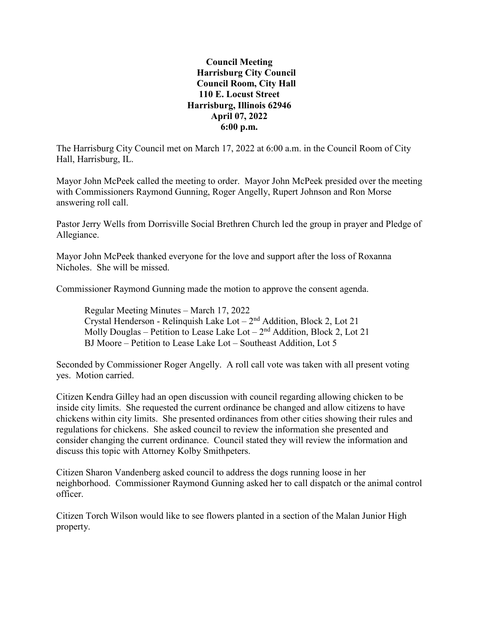## **Council Meeting Harrisburg City Council Council Room, City Hall 110 E. Locust Street Harrisburg, Illinois 62946 April 07, 2022 6:00 p.m.**

The Harrisburg City Council met on March 17, 2022 at 6:00 a.m. in the Council Room of City Hall, Harrisburg, IL.

Mayor John McPeek called the meeting to order. Mayor John McPeek presided over the meeting with Commissioners Raymond Gunning, Roger Angelly, Rupert Johnson and Ron Morse answering roll call.

Pastor Jerry Wells from Dorrisville Social Brethren Church led the group in prayer and Pledge of Allegiance.

Mayor John McPeek thanked everyone for the love and support after the loss of Roxanna Nicholes. She will be missed.

Commissioner Raymond Gunning made the motion to approve the consent agenda.

Regular Meeting Minutes – March 17, 2022 Crystal Henderson - Relinquish Lake Lot  $-2<sup>nd</sup>$  Addition, Block 2, Lot 21 Molly Douglas – Petition to Lease Lake Lot –  $2<sup>nd</sup>$  Addition, Block 2, Lot 21 BJ Moore – Petition to Lease Lake Lot – Southeast Addition, Lot 5

Seconded by Commissioner Roger Angelly. A roll call vote was taken with all present voting yes. Motion carried.

Citizen Kendra Gilley had an open discussion with council regarding allowing chicken to be inside city limits. She requested the current ordinance be changed and allow citizens to have chickens within city limits. She presented ordinances from other cities showing their rules and regulations for chickens. She asked council to review the information she presented and consider changing the current ordinance. Council stated they will review the information and discuss this topic with Attorney Kolby Smithpeters.

Citizen Sharon Vandenberg asked council to address the dogs running loose in her neighborhood. Commissioner Raymond Gunning asked her to call dispatch or the animal control officer.

Citizen Torch Wilson would like to see flowers planted in a section of the Malan Junior High property.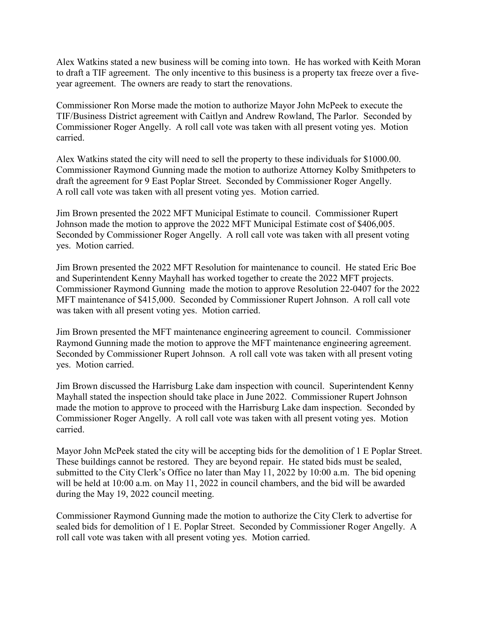Alex Watkins stated a new business will be coming into town. He has worked with Keith Moran to draft a TIF agreement. The only incentive to this business is a property tax freeze over a fiveyear agreement. The owners are ready to start the renovations.

Commissioner Ron Morse made the motion to authorize Mayor John McPeek to execute the TIF/Business District agreement with Caitlyn and Andrew Rowland, The Parlor. Seconded by Commissioner Roger Angelly. A roll call vote was taken with all present voting yes. Motion carried.

Alex Watkins stated the city will need to sell the property to these individuals for \$1000.00. Commissioner Raymond Gunning made the motion to authorize Attorney Kolby Smithpeters to draft the agreement for 9 East Poplar Street. Seconded by Commissioner Roger Angelly. A roll call vote was taken with all present voting yes. Motion carried.

Jim Brown presented the 2022 MFT Municipal Estimate to council. Commissioner Rupert Johnson made the motion to approve the 2022 MFT Municipal Estimate cost of \$406,005. Seconded by Commissioner Roger Angelly. A roll call vote was taken with all present voting yes. Motion carried.

Jim Brown presented the 2022 MFT Resolution for maintenance to council. He stated Eric Boe and Superintendent Kenny Mayhall has worked together to create the 2022 MFT projects. Commissioner Raymond Gunning made the motion to approve Resolution 22-0407 for the 2022 MFT maintenance of \$415,000. Seconded by Commissioner Rupert Johnson. A roll call vote was taken with all present voting yes. Motion carried.

Jim Brown presented the MFT maintenance engineering agreement to council. Commissioner Raymond Gunning made the motion to approve the MFT maintenance engineering agreement. Seconded by Commissioner Rupert Johnson. A roll call vote was taken with all present voting yes. Motion carried.

Jim Brown discussed the Harrisburg Lake dam inspection with council. Superintendent Kenny Mayhall stated the inspection should take place in June 2022. Commissioner Rupert Johnson made the motion to approve to proceed with the Harrisburg Lake dam inspection. Seconded by Commissioner Roger Angelly. A roll call vote was taken with all present voting yes. Motion carried.

Mayor John McPeek stated the city will be accepting bids for the demolition of 1 E Poplar Street. These buildings cannot be restored. They are beyond repair. He stated bids must be sealed, submitted to the City Clerk's Office no later than May 11, 2022 by 10:00 a.m. The bid opening will be held at 10:00 a.m. on May 11, 2022 in council chambers, and the bid will be awarded during the May 19, 2022 council meeting.

Commissioner Raymond Gunning made the motion to authorize the City Clerk to advertise for sealed bids for demolition of 1 E. Poplar Street. Seconded by Commissioner Roger Angelly. A roll call vote was taken with all present voting yes. Motion carried.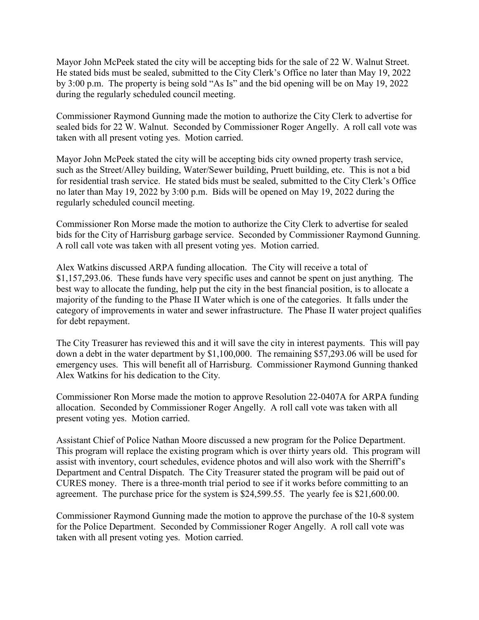Mayor John McPeek stated the city will be accepting bids for the sale of 22 W. Walnut Street. He stated bids must be sealed, submitted to the City Clerk's Office no later than May 19, 2022 by 3:00 p.m. The property is being sold "As Is" and the bid opening will be on May 19, 2022 during the regularly scheduled council meeting.

Commissioner Raymond Gunning made the motion to authorize the City Clerk to advertise for sealed bids for 22 W. Walnut. Seconded by Commissioner Roger Angelly. A roll call vote was taken with all present voting yes. Motion carried.

Mayor John McPeek stated the city will be accepting bids city owned property trash service, such as the Street/Alley building, Water/Sewer building, Pruett building, etc. This is not a bid for residential trash service. He stated bids must be sealed, submitted to the City Clerk's Office no later than May 19, 2022 by 3:00 p.m. Bids will be opened on May 19, 2022 during the regularly scheduled council meeting.

Commissioner Ron Morse made the motion to authorize the City Clerk to advertise for sealed bids for the City of Harrisburg garbage service. Seconded by Commissioner Raymond Gunning. A roll call vote was taken with all present voting yes. Motion carried.

Alex Watkins discussed ARPA funding allocation. The City will receive a total of \$1,157,293.06. These funds have very specific uses and cannot be spent on just anything. The best way to allocate the funding, help put the city in the best financial position, is to allocate a majority of the funding to the Phase II Water which is one of the categories. It falls under the category of improvements in water and sewer infrastructure. The Phase II water project qualifies for debt repayment.

The City Treasurer has reviewed this and it will save the city in interest payments. This will pay down a debt in the water department by \$1,100,000. The remaining \$57,293.06 will be used for emergency uses. This will benefit all of Harrisburg. Commissioner Raymond Gunning thanked Alex Watkins for his dedication to the City.

Commissioner Ron Morse made the motion to approve Resolution 22-0407A for ARPA funding allocation. Seconded by Commissioner Roger Angelly. A roll call vote was taken with all present voting yes. Motion carried.

Assistant Chief of Police Nathan Moore discussed a new program for the Police Department. This program will replace the existing program which is over thirty years old. This program will assist with inventory, court schedules, evidence photos and will also work with the Sherriff's Department and Central Dispatch. The City Treasurer stated the program will be paid out of CURES money. There is a three-month trial period to see if it works before committing to an agreement. The purchase price for the system is \$24,599.55. The yearly fee is \$21,600.00.

Commissioner Raymond Gunning made the motion to approve the purchase of the 10-8 system for the Police Department. Seconded by Commissioner Roger Angelly. A roll call vote was taken with all present voting yes. Motion carried.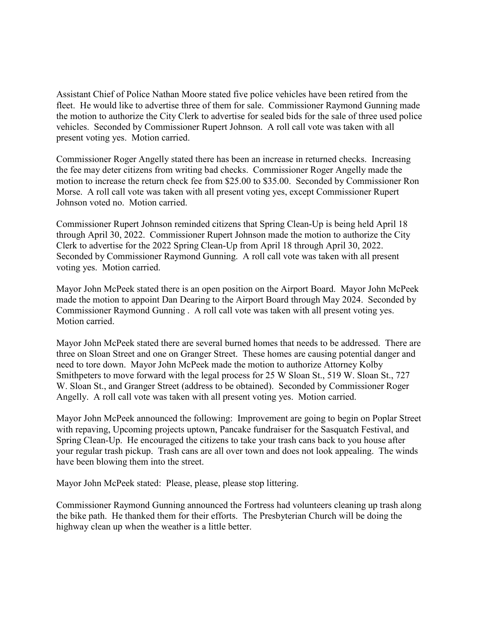Assistant Chief of Police Nathan Moore stated five police vehicles have been retired from the fleet. He would like to advertise three of them for sale. Commissioner Raymond Gunning made the motion to authorize the City Clerk to advertise for sealed bids for the sale of three used police vehicles. Seconded by Commissioner Rupert Johnson. A roll call vote was taken with all present voting yes. Motion carried.

Commissioner Roger Angelly stated there has been an increase in returned checks. Increasing the fee may deter citizens from writing bad checks. Commissioner Roger Angelly made the motion to increase the return check fee from \$25.00 to \$35.00. Seconded by Commissioner Ron Morse. A roll call vote was taken with all present voting yes, except Commissioner Rupert Johnson voted no. Motion carried.

Commissioner Rupert Johnson reminded citizens that Spring Clean-Up is being held April 18 through April 30, 2022. Commissioner Rupert Johnson made the motion to authorize the City Clerk to advertise for the 2022 Spring Clean-Up from April 18 through April 30, 2022. Seconded by Commissioner Raymond Gunning. A roll call vote was taken with all present voting yes. Motion carried.

Mayor John McPeek stated there is an open position on the Airport Board. Mayor John McPeek made the motion to appoint Dan Dearing to the Airport Board through May 2024. Seconded by Commissioner Raymond Gunning . A roll call vote was taken with all present voting yes. Motion carried.

Mayor John McPeek stated there are several burned homes that needs to be addressed. There are three on Sloan Street and one on Granger Street. These homes are causing potential danger and need to tore down. Mayor John McPeek made the motion to authorize Attorney Kolby Smithpeters to move forward with the legal process for 25 W Sloan St., 519 W. Sloan St., 727 W. Sloan St., and Granger Street (address to be obtained). Seconded by Commissioner Roger Angelly. A roll call vote was taken with all present voting yes. Motion carried.

Mayor John McPeek announced the following: Improvement are going to begin on Poplar Street with repaving, Upcoming projects uptown, Pancake fundraiser for the Sasquatch Festival, and Spring Clean-Up. He encouraged the citizens to take your trash cans back to you house after your regular trash pickup. Trash cans are all over town and does not look appealing. The winds have been blowing them into the street.

Mayor John McPeek stated: Please, please, please stop littering.

Commissioner Raymond Gunning announced the Fortress had volunteers cleaning up trash along the bike path. He thanked them for their efforts. The Presbyterian Church will be doing the highway clean up when the weather is a little better.